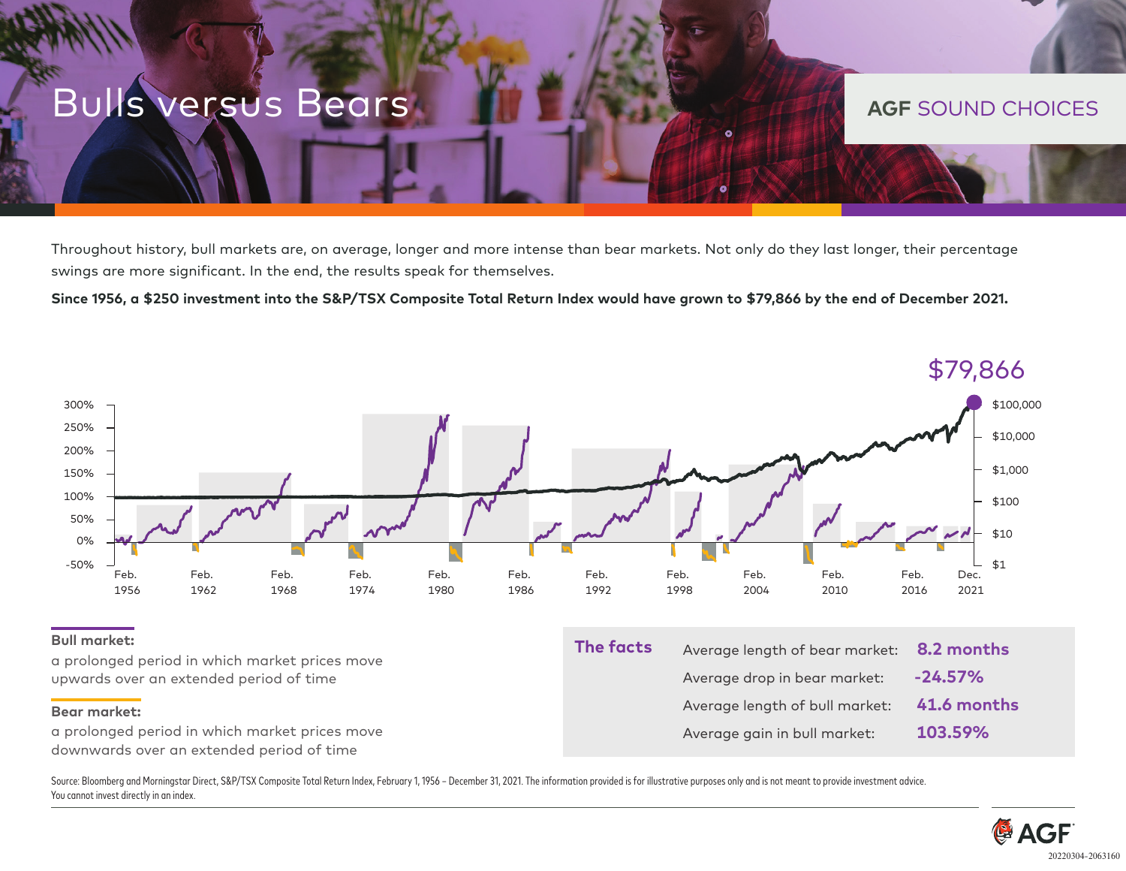## **Bulls versus Bears AGF SOUND CHOICES**

Throughout history, bull markets are, on average, longer and more intense than bear markets. Not only do they last longer, their percentage swings are more significant. In the end, the results speak for themselves.

**Since 1956, a \$250 investment into the S&P/TSX Composite Total Return Index would have grown to \$79,866 by the end of December 2021.**



Source: Bloomberg and Morningstar Direct, S&P/TSX Composite Total Return Index, February 1, 1956 - December 31, 2021. The information provided is for illustrative purposes only and is not meant to provide investment advice You cannot invest directly in an index.